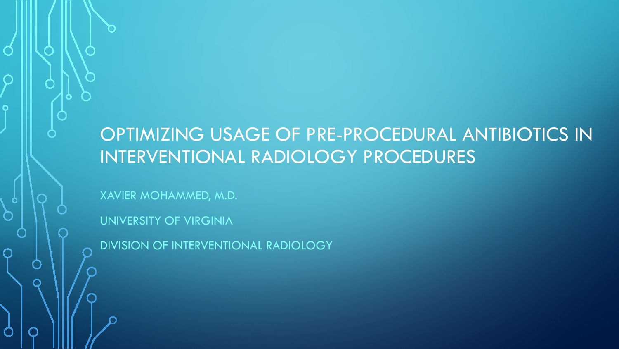#### OPTIMIZING USAGE OF PRE-PROCEDURAL ANTIBIOTICS IN INTERVENTIONAL RADIOLOGY PROCEDURES

XAVIER MOHAMMED, M.D.

UNIVERSITY OF VIRGINIA

DIVISION OF INTERVENTIONAL RADIOLOGY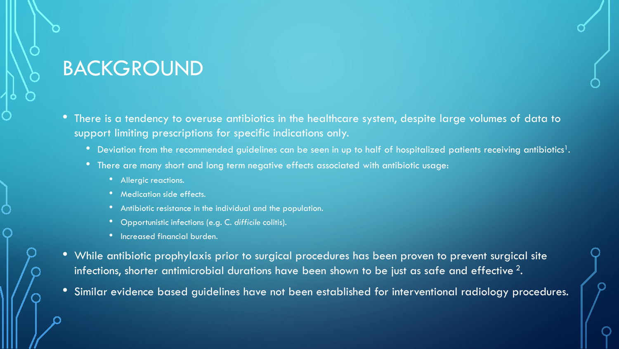### BACKGROUND

- There is a tendency to overuse antibiotics in the healthcare system, despite large volumes of data to support limiting prescriptions for specific indications only.
	- Deviation from the recommended guidelines can be seen in up to half of hospitalized patients receiving antibiotics<sup>1</sup>.
	- There are many short and long term negative effects associated with antibiotic usage:
		- Allergic reactions.
		- Medication side effects.
		- Antibiotic resistance in the individual and the population.
		- Opportunistic infections (e.g. C. *difficile* colitis).
		- Increased financial burden.
- While antibiotic prophylaxis prior to surgical procedures has been proven to prevent surgical site infections, shorter antimicrobial durations have been shown to be just as safe and effective  $2$ .
- Similar evidence based guidelines have not been established for interventional radiology procedures.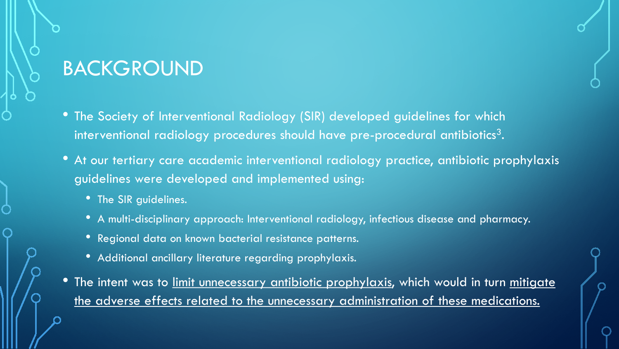### BACKGROUND

- The Society of Interventional Radiology (SIR) developed guidelines for which interventional radiology procedures should have pre-procedural antibiotics<sup>3</sup>.
- At our tertiary care academic interventional radiology practice, antibiotic prophylaxis guidelines were developed and implemented using:
	- The SIR guidelines.
	- A multi-disciplinary approach: Interventional radiology, infectious disease and pharmacy.
	- Regional data on known bacterial resistance patterns.
	- Additional ancillary literature regarding prophylaxis.
- The intent was to limit unnecessary antibiotic prophylaxis, which would in turn mitigate the adverse effects related to the unnecessary administration of these medications.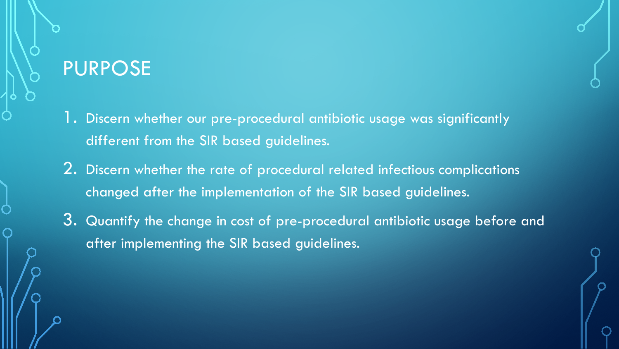### PURPOSE

- 1. Discern whether our pre-procedural antibiotic usage was significantly different from the SIR based guidelines.
- 2. Discern whether the rate of procedural related infectious complications changed after the implementation of the SIR based guidelines.
- 3. Quantify the change in cost of pre-procedural antibiotic usage before and after implementing the SIR based guidelines.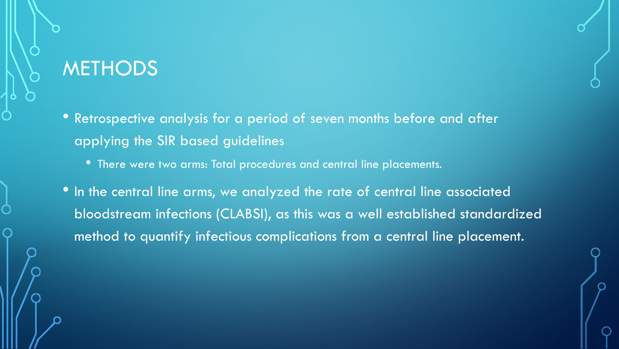### **METHODS**

- Retrospective analysis for a period of seven months before and after applying the SIR based guidelines
	- There were two arms: Total procedures and central line placements.
- In the central line arms, we analyzed the rate of central line associated bloodstream infections (CLABSI), as this was a well established standardized method to quantify infectious complications from a central line placement.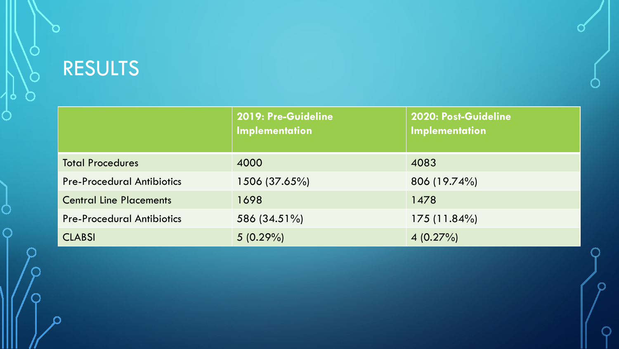# RESULTS

 $\bigcap$ 

O

 $\subset$ 

|                                   | 2019: Pre-Guideline<br>Implementation | 2020: Post-Guideline<br>Implementation |
|-----------------------------------|---------------------------------------|----------------------------------------|
| <b>Total Procedures</b>           | 4000                                  | 4083                                   |
| <b>Pre-Procedural Antibiotics</b> | 1506 (37.65%)                         | 806 (19.74%)                           |
| <b>Central Line Placements</b>    | 1698                                  | 1478                                   |
| <b>Pre-Procedural Antibiotics</b> | 586 (34.51%)                          | 175(11.84%)                            |
| <b>CLABSI</b>                     | $5(0.29\%)$                           | $4(0.27\%)$                            |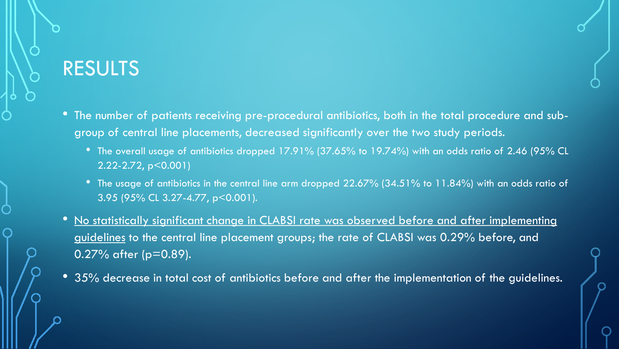## RESULTS

- The number of patients receiving pre-procedural antibiotics, both in the total procedure and subgroup of central line placements, decreased significantly over the two study periods.
	- The overall usage of antibiotics dropped 17.91% (37.65% to 19.74%) with an odds ratio of 2.46 (95% CL 2.22-2.72, p<0.001)
	- The usage of antibiotics in the central line arm dropped 22.67% (34.51% to 11.84%) with an odds ratio of 3.95 (95% CL 3.27-4.77, p<0.001).
- No statistically significant change in CLABSI rate was observed before and after implementing guidelines to the central line placement groups; the rate of CLABSI was 0.29% before, and 0.27% after (p=0.89).
- 35% decrease in total cost of antibiotics before and after the implementation of the guidelines.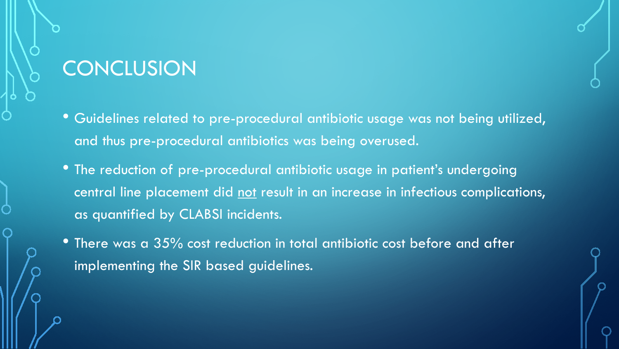### **CONCLUSION**

- Guidelines related to pre-procedural antibiotic usage was not being utilized, and thus pre-procedural antibiotics was being overused.
- The reduction of pre-procedural antibiotic usage in patient's undergoing central line placement did not result in an increase in infectious complications, as quantified by CLABSI incidents.
- There was a 35% cost reduction in total antibiotic cost before and after implementing the SIR based guidelines.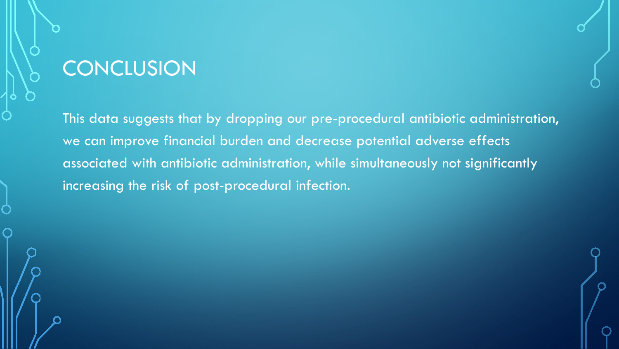### **CONCLUSION**

This data suggests that by dropping our pre-procedural antibiotic administration, we can improve financial burden and decrease potential adverse effects associated with antibiotic administration, while simultaneously not significantly increasing the risk of post-procedural infection.